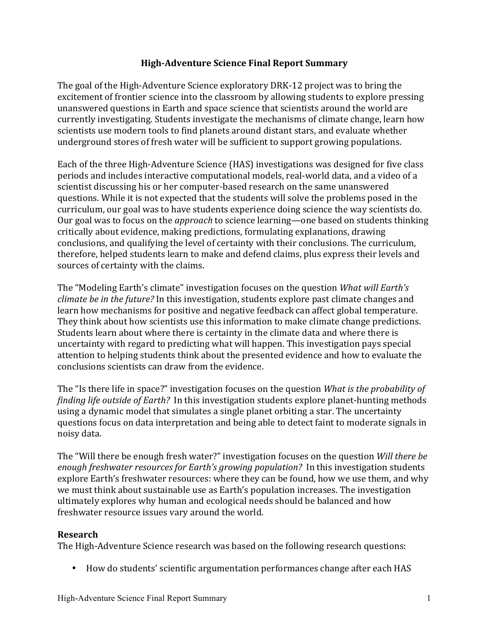## **High%Adventure.Science.Final.Report.Summary**

The goal of the High-Adventure Science exploratory DRK-12 project was to bring the excitement of frontier science into the classroom by allowing students to explore pressing unanswered questions in Earth and space science that scientists around the world are currently investigating. Students investigate the mechanisms of climate change, learn how scientists use modern tools to find planets around distant stars, and evaluate whether underground stores of fresh water will be sufficient to support growing populations.

Each of the three High-Adventure Science (HAS) investigations was designed for five class periods and includes interactive computational models, real-world data, and a video of a scientist discussing his or her computer-based research on the same unanswered questions. While it is not expected that the students will solve the problems posed in the curriculum, our goal was to have students experience doing science the way scientists do. Our goal was to focus on the *approach* to science learning—one based on students thinking critically about evidence, making predictions, formulating explanations, drawing conclusions, and qualifying the level of certainty with their conclusions. The curriculum, therefore, helped students learn to make and defend claims, plus express their levels and sources of certainty with the claims.

The "Modeling Earth's climate" investigation focuses on the question *What will Earth's climate be in the future?* In this investigation, students explore past climate changes and learn how mechanisms for positive and negative feedback can affect global temperature. They think about how scientists use this information to make climate change predictions. Students learn about where there is certainty in the climate data and where there is uncertainty with regard to predicting what will happen. This investigation pays special attention to helping students think about the presented evidence and how to evaluate the conclusions scientists can draw from the evidence.

The "Is there life in space?" investigation focuses on the question *What is the probability of finding life outside of Earth?* In this investigation students explore planet-hunting methods using a dynamic model that simulates a single planet orbiting a star. The uncertainty questions focus on data interpretation and being able to detect faint to moderate signals in noisy data.

The "Will there be enough fresh water?" investigation focuses on the question *Will there be* enough freshwater resources for Earth's growing population? In this investigation students explore Earth's freshwater resources: where they can be found, how we use them, and why we must think about sustainable use as Earth's population increases. The investigation ultimately explores why human and ecological needs should be balanced and how freshwater resource issues vary around the world.

### **Research.**

The High-Adventure Science research was based on the following research questions:

• How do students' scientific argumentation performances change after each HAS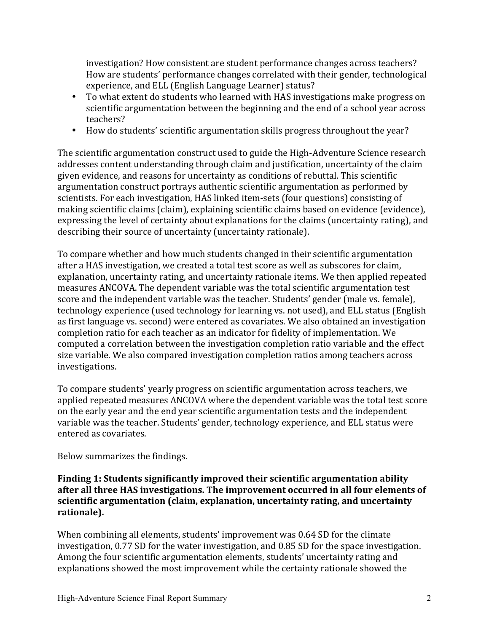investigation? How consistent are student performance changes across teachers? How are students' performance changes correlated with their gender, technological experience, and ELL (English Language Learner) status?

- To what extent do students who learned with HAS investigations make progress on scientific argumentation between the beginning and the end of a school year across teachers?
- How do students' scientific argumentation skills progress throughout the year?

The scientific argumentation construct used to guide the High-Adventure Science research addresses content understanding through claim and justification, uncertainty of the claim given evidence, and reasons for uncertainty as conditions of rebuttal. This scientific argumentation construct portrays authentic scientific argumentation as performed by scientists. For each investigation, HAS linked item-sets (four questions) consisting of making scientific claims (claim), explaining scientific claims based on evidence (evidence), expressing the level of certainty about explanations for the claims (uncertainty rating), and describing their source of uncertainty (uncertainty rationale).

To compare whether and how much students changed in their scientific argumentation after a HAS investigation, we created a total test score as well as subscores for claim, explanation, uncertainty rating, and uncertainty rationale items. We then applied repeated measures ANCOVA. The dependent variable was the total scientific argumentation test score and the independent variable was the teacher. Students' gender (male vs. female), technology experience (used technology for learning vs. not used), and ELL status (English as first language vs. second) were entered as covariates. We also obtained an investigation completion ratio for each teacher as an indicator for fidelity of implementation. We computed a correlation between the investigation completion ratio variable and the effect size variable. We also compared investigation completion ratios among teachers across investigations.

To compare students' yearly progress on scientific argumentation across teachers, we applied repeated measures ANCOVA where the dependent variable was the total test score on the early year and the end year scientific argumentation tests and the independent variable was the teacher. Students' gender, technology experience, and ELL status were entered as covariates.

Below summarizes the findings.

## Finding 1: Students significantly improved their scientific argumentation ability after all three HAS investigations. The improvement occurred in all four elements of scientific argumentation (claim, explanation, uncertainty rating, and uncertainty **rationale).**

When combining all elements, students' improvement was 0.64 SD for the climate investigation, 0.77 SD for the water investigation, and 0.85 SD for the space investigation. Among the four scientific argumentation elements, students' uncertainty rating and explanations showed the most improvement while the certainty rationale showed the